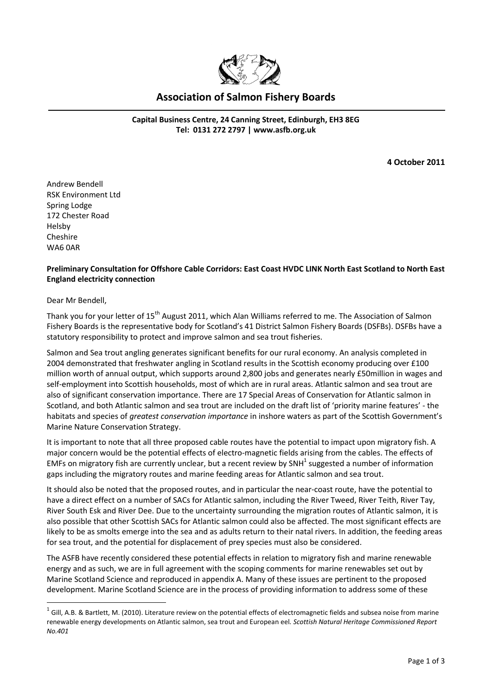

## **Association of Salmon Fishery Boards**

**Capital Business Centre, 24 Canning Street, Edinburgh, EH3 8EG Tel: 0131 272 2797 | [www.asfb.org.uk](http://www.asfb.org.uk/)**

**4 October 2011**

Andrew Bendell RSK Environment Ltd Spring Lodge 172 Chester Road Helsby Cheshire WA6 0AR

## **Preliminary Consultation for Offshore Cable Corridors: East Coast HVDC LINK North East Scotland to North East England electricity connection**

Dear Mr Bendell,

<u>.</u>

Thank you for your letter of 15<sup>th</sup> August 2011, which Alan Williams referred to me. The Association of Salmon Fishery Boards is the representative body for Scotland's 41 District Salmon Fishery Boards (DSFBs). DSFBs have a statutory responsibility to protect and improve salmon and sea trout fisheries.

Salmon and Sea trout angling generates significant benefits for our rural economy. An analysis completed in 2004 demonstrated that freshwater angling in Scotland results in the Scottish economy producing over £100 million worth of annual output, which supports around 2,800 jobs and generates nearly £50million in wages and self-employment into Scottish households, most of which are in rural areas. Atlantic salmon and sea trout are also of significant conservation importance. There are 17 Special Areas of Conservation for Atlantic salmon in Scotland, and both Atlantic salmon and sea trout are included on the draft list of 'priority marine features' - the habitats and species of *greatest conservation importance* in inshore waters as part of the Scottish Government's Marine Nature Conservation Strategy.

It is important to note that all three proposed cable routes have the potential to impact upon migratory fish. A major concern would be the potential effects of electro-magnetic fields arising from the cables. The effects of EMFs on migratory fish are currently unclear, but a recent review by SNH $^1$  suggested a number of information gaps including the migratory routes and marine feeding areas for Atlantic salmon and sea trout.

It should also be noted that the proposed routes, and in particular the near-coast route, have the potential to have a direct effect on a number of SACs for Atlantic salmon, including the River Tweed, River Teith, River Tay, River South Esk and River Dee. Due to the uncertainty surrounding the migration routes of Atlantic salmon, it is also possible that other Scottish SACs for Atlantic salmon could also be affected. The most significant effects are likely to be as smolts emerge into the sea and as adults return to their natal rivers. In addition, the feeding areas for sea trout, and the potential for displacement of prey species must also be considered.

The ASFB have recently considered these potential effects in relation to migratory fish and marine renewable energy and as such, we are in full agreement with the scoping comments for marine renewables set out by Marine Scotland Science and reproduced in appendix A. Many of these issues are pertinent to the proposed development. Marine Scotland Science are in the process of providing information to address some of these

 $^1$  Gill, A.B. & Bartlett, M. (2010). Literature review on the potential effects of electromagnetic fields and subsea noise from marine renewable energy developments on Atlantic salmon, sea trout and European eel*. Scottish Natural Heritage Commissioned Report No.401*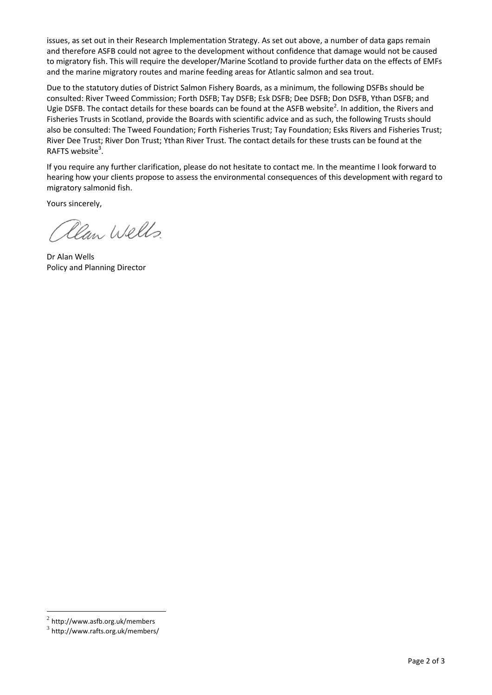issues, as set out in their Research Implementation Strategy. As set out above, a number of data gaps remain and therefore ASFB could not agree to the development without confidence that damage would not be caused to migratory fish. This will require the developer/Marine Scotland to provide further data on the effects of EMFs and the marine migratory routes and marine feeding areas for Atlantic salmon and sea trout.

Due to the statutory duties of District Salmon Fishery Boards, as a minimum, the following DSFBs should be consulted: River Tweed Commission; Forth DSFB; Tay DSFB; Esk DSFB; Dee DSFB; Don DSFB, Ythan DSFB; and Ugie DSFB. The contact details for these boards can be found at the ASFB website<sup>2</sup>. In addition, the Rivers and Fisheries Trusts in Scotland, provide the Boards with scientific advice and as such, the following Trusts should also be consulted: The Tweed Foundation; Forth Fisheries Trust; Tay Foundation; Esks Rivers and Fisheries Trust; River Dee Trust; River Don Trust; Ythan River Trust. The contact details for these trusts can be found at the RAFTS website<sup>3</sup>.

If you require any further clarification, please do not hesitate to contact me. In the meantime I look forward to hearing how your clients propose to assess the environmental consequences of this development with regard to migratory salmonid fish.

Yours sincerely,

Clan Wells.

Dr Alan Wells Policy and Planning Director

1

 $2$  http://www.asfb.org.uk/members

<sup>3</sup> http://www.rafts.org.uk/members/